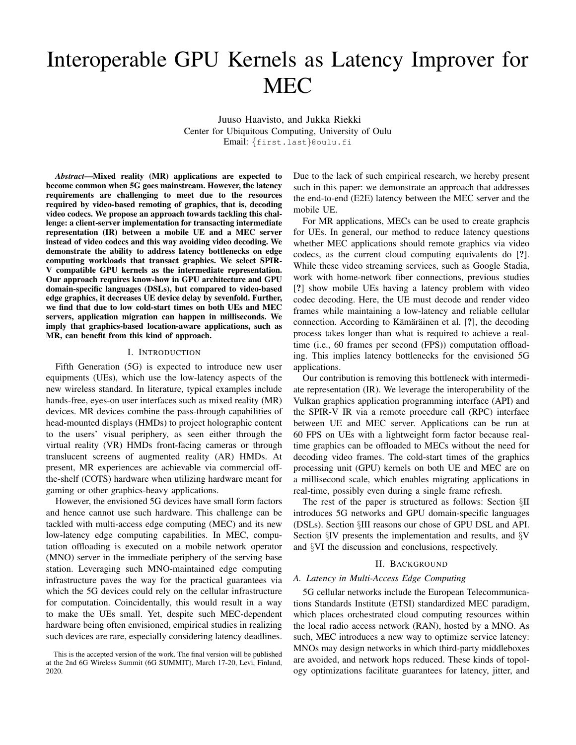# Interoperable GPU Kernels as Latency Improver for MEC

Juuso Haavisto, and Jukka Riekki Center for Ubiquitous Computing, University of Oulu Email: {first.last}@oulu.fi

*Abstract*—Mixed reality (MR) applications are expected to become common when 5G goes mainstream. However, the latency requirements are challenging to meet due to the resources required by video-based remoting of graphics, that is, decoding video codecs. We propose an approach towards tackling this challenge: a client-server implementation for transacting intermediate representation (IR) between a mobile UE and a MEC server instead of video codecs and this way avoiding video decoding. We demonstrate the ability to address latency bottlenecks on edge computing workloads that transact graphics. We select SPIR-V compatible GPU kernels as the intermediate representation. Our approach requires know-how in GPU architecture and GPU domain-specific languages (DSLs), but compared to video-based edge graphics, it decreases UE device delay by sevenfold. Further, we find that due to low cold-start times on both UEs and MEC servers, application migration can happen in milliseconds. We imply that graphics-based location-aware applications, such as MR, can benefit from this kind of approach.

## I. INTRODUCTION

Fifth Generation (5G) is expected to introduce new user equipments (UEs), which use the low-latency aspects of the new wireless standard. In literature, typical examples include hands-free, eyes-on user interfaces such as mixed reality (MR) devices. MR devices combine the pass-through capabilities of head-mounted displays (HMDs) to project holographic content to the users' visual periphery, as seen either through the virtual reality (VR) HMDs front-facing cameras or through translucent screens of augmented reality (AR) HMDs. At present, MR experiences are achievable via commercial offthe-shelf (COTS) hardware when utilizing hardware meant for gaming or other graphics-heavy applications.

However, the envisioned 5G devices have small form factors and hence cannot use such hardware. This challenge can be tackled with multi-access edge computing (MEC) and its new low-latency edge computing capabilities. In MEC, computation offloading is executed on a mobile network operator (MNO) server in the immediate periphery of the serving base station. Leveraging such MNO-maintained edge computing infrastructure paves the way for the practical guarantees via which the 5G devices could rely on the cellular infrastructure for computation. Coincidentally, this would result in a way to make the UEs small. Yet, despite such MEC-dependent hardware being often envisioned, empirical studies in realizing such devices are rare, especially considering latency deadlines.

Due to the lack of such empirical research, we hereby present such in this paper: we demonstrate an approach that addresses the end-to-end (E2E) latency between the MEC server and the mobile UE.

For MR applications, MECs can be used to create graphcis for UEs. In general, our method to reduce latency questions whether MEC applications should remote graphics via video codecs, as the current cloud computing equivalents do [?]. While these video streaming services, such as Google Stadia, work with home-network fiber connections, previous studies [?] show mobile UEs having a latency problem with video codec decoding. Here, the UE must decode and render video frames while maintaining a low-latency and reliable cellular connection. According to Kämäräinen et al. [?], the decoding process takes longer than what is required to achieve a realtime (i.e., 60 frames per second (FPS)) computation offloading. This implies latency bottlenecks for the envisioned 5G applications.

Our contribution is removing this bottleneck with intermediate representation (IR). We leverage the interoperability of the Vulkan graphics application programming interface (API) and the SPIR-V IR via a remote procedure call (RPC) interface between UE and MEC server. Applications can be run at 60 FPS on UEs with a lightweight form factor because realtime graphics can be offloaded to MECs without the need for decoding video frames. The cold-start times of the graphics processing unit (GPU) kernels on both UE and MEC are on a millisecond scale, which enables migrating applications in real-time, possibly even during a single frame refresh.

The rest of the paper is structured as follows: Section §II introduces 5G networks and GPU domain-specific languages (DSLs). Section §III reasons our chose of GPU DSL and API. Section §IV presents the implementation and results, and §V and §VI the discussion and conclusions, respectively.

# II. BACKGROUND

# *A. Latency in Multi-Access Edge Computing*

5G cellular networks include the European Telecommunications Standards Institute (ETSI) standardized MEC paradigm, which places orchestrated cloud computing resources within the local radio access network (RAN), hosted by a MNO. As such, MEC introduces a new way to optimize service latency: MNOs may design networks in which third-party middleboxes are avoided, and network hops reduced. These kinds of topology optimizations facilitate guarantees for latency, jitter, and

This is the accepted version of the work. The final version will be published at the 2nd 6G Wireless Summit (6G SUMMIT), March 17-20, Levi, Finland, 2020.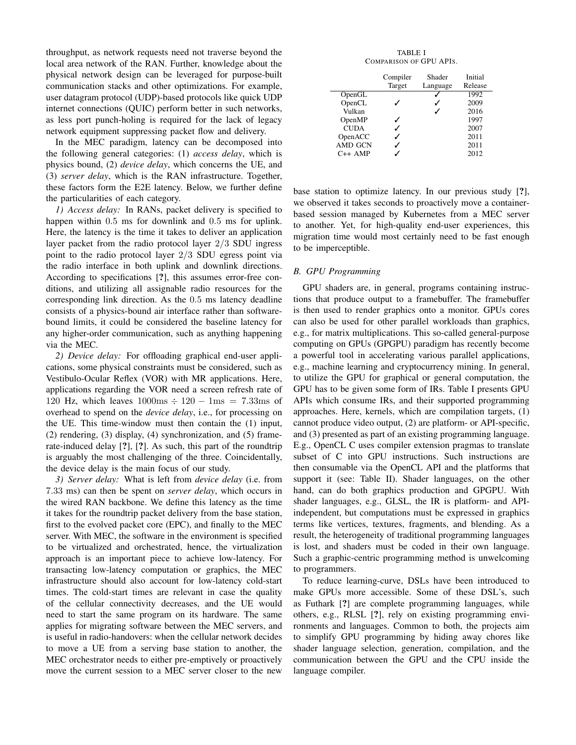throughput, as network requests need not traverse beyond the local area network of the RAN. Further, knowledge about the physical network design can be leveraged for purpose-built communication stacks and other optimizations. For example, user datagram protocol (UDP)-based protocols like quick UDP internet connections (QUIC) perform better in such networks, as less port punch-holing is required for the lack of legacy network equipment suppressing packet flow and delivery.

In the MEC paradigm, latency can be decomposed into the following general categories: (1) *access delay*, which is physics bound, (2) *device delay*, which concerns the UE, and (3) *server delay*, which is the RAN infrastructure. Together, these factors form the E2E latency. Below, we further define the particularities of each category.

*1) Access delay:* In RANs, packet delivery is specified to happen within  $0.5$  ms for downlink and  $0.5$  ms for uplink. Here, the latency is the time it takes to deliver an application layer packet from the radio protocol layer 2/3 SDU ingress point to the radio protocol layer 2/3 SDU egress point via the radio interface in both uplink and downlink directions. According to specifications [?], this assumes error-free conditions, and utilizing all assignable radio resources for the corresponding link direction. As the 0.5 ms latency deadline consists of a physics-bound air interface rather than softwarebound limits, it could be considered the baseline latency for any higher-order communication, such as anything happening via the MEC.

*2) Device delay:* For offloading graphical end-user applications, some physical constraints must be considered, such as Vestibulo-Ocular Reflex (VOR) with MR applications. Here, applications regarding the VOR need a screen refresh rate of 120 Hz, which leaves  $1000 \text{ms} \div 120 - 1 \text{ms} = 7.33 \text{ms}$  of overhead to spend on the *device delay*, i.e., for processing on the UE. This time-window must then contain the (1) input, (2) rendering, (3) display, (4) synchronization, and (5) framerate-induced delay [?], [?]. As such, this part of the roundtrip is arguably the most challenging of the three. Coincidentally, the device delay is the main focus of our study.

*3) Server delay:* What is left from *device delay* (i.e. from 7.33 ms) can then be spent on *server delay*, which occurs in the wired RAN backbone. We define this latency as the time it takes for the roundtrip packet delivery from the base station, first to the evolved packet core (EPC), and finally to the MEC server. With MEC, the software in the environment is specified to be virtualized and orchestrated, hence, the virtualization approach is an important piece to achieve low-latency. For transacting low-latency computation or graphics, the MEC infrastructure should also account for low-latency cold-start times. The cold-start times are relevant in case the quality of the cellular connectivity decreases, and the UE would need to start the same program on its hardware. The same applies for migrating software between the MEC servers, and is useful in radio-handovers: when the cellular network decides to move a UE from a serving base station to another, the MEC orchestrator needs to either pre-emptively or proactively move the current session to a MEC server closer to the new

TABLE I COMPARISON OF GPU APIS.

|                | Compiler<br>Target | Shader<br>Language | Initial<br>Release |
|----------------|--------------------|--------------------|--------------------|
| OpenGL         |                    |                    | 1992               |
| OpenCL         |                    |                    | 2009               |
| Vulkan         |                    |                    | 2016               |
| OpenMP         |                    |                    | 1997               |
| <b>CUDA</b>    |                    |                    | 2007               |
| OpenACC        |                    |                    | 2011               |
| <b>AMD GCN</b> |                    |                    | 2011               |
| $C++$ AMP      |                    |                    | 2012               |

base station to optimize latency. In our previous study [?], we observed it takes seconds to proactively move a containerbased session managed by Kubernetes from a MEC server to another. Yet, for high-quality end-user experiences, this migration time would most certainly need to be fast enough to be imperceptible.

## *B. GPU Programming*

GPU shaders are, in general, programs containing instructions that produce output to a framebuffer. The framebuffer is then used to render graphics onto a monitor. GPUs cores can also be used for other parallel workloads than graphics, e.g., for matrix multiplications. This so-called general-purpose computing on GPUs (GPGPU) paradigm has recently become a powerful tool in accelerating various parallel applications, e.g., machine learning and cryptocurrency mining. In general, to utilize the GPU for graphical or general computation, the GPU has to be given some form of IRs. Table I presents GPU APIs which consume IRs, and their supported programming approaches. Here, kernels, which are compilation targets, (1) cannot produce video output, (2) are platform- or API-specific, and (3) presented as part of an existing programming language. E.g., OpenCL C uses compiler extension pragmas to translate subset of C into GPU instructions. Such instructions are then consumable via the OpenCL API and the platforms that support it (see: Table II). Shader languages, on the other hand, can do both graphics production and GPGPU. With shader languages, e.g., GLSL, the IR is platform- and APIindependent, but computations must be expressed in graphics terms like vertices, textures, fragments, and blending. As a result, the heterogeneity of traditional programming languages is lost, and shaders must be coded in their own language. Such a graphic-centric programming method is unwelcoming to programmers.

To reduce learning-curve, DSLs have been introduced to make GPUs more accessible. Some of these DSL's, such as Futhark [?] are complete programming languages, while others, e.g., RLSL [?], rely on existing programming environments and languages. Common to both, the projects aim to simplify GPU programming by hiding away chores like shader language selection, generation, compilation, and the communication between the GPU and the CPU inside the language compiler.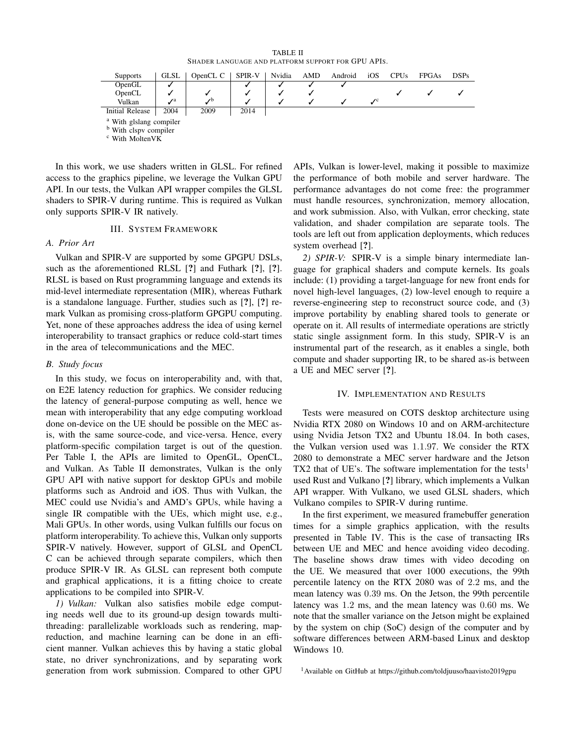TABLE II SHADER LANGUAGE AND PLATFORM SUPPORT FOR GPU APIS.



<sup>c</sup> With MoltenVK

In this work, we use shaders written in GLSL. For refined access to the graphics pipeline, we leverage the Vulkan GPU API. In our tests, the Vulkan API wrapper compiles the GLSL shaders to SPIR-V during runtime. This is required as Vulkan only supports SPIR-V IR natively.

# III. SYSTEM FRAMEWORK

# *A. Prior Art*

Vulkan and SPIR-V are supported by some GPGPU DSLs, such as the aforementioned RLSL [?] and Futhark [?], [?]. RLSL is based on Rust programming language and extends its mid-level intermediate representation (MIR), whereas Futhark is a standalone language. Further, studies such as [?], [?] remark Vulkan as promising cross-platform GPGPU computing. Yet, none of these approaches address the idea of using kernel interoperability to transact graphics or reduce cold-start times in the area of telecommunications and the MEC.

## *B. Study focus*

In this study, we focus on interoperability and, with that, on E2E latency reduction for graphics. We consider reducing the latency of general-purpose computing as well, hence we mean with interoperability that any edge computing workload done on-device on the UE should be possible on the MEC asis, with the same source-code, and vice-versa. Hence, every platform-specific compilation target is out of the question. Per Table I, the APIs are limited to OpenGL, OpenCL, and Vulkan. As Table II demonstrates, Vulkan is the only GPU API with native support for desktop GPUs and mobile platforms such as Android and iOS. Thus with Vulkan, the MEC could use Nvidia's and AMD's GPUs, while having a single IR compatible with the UEs, which might use, e.g., Mali GPUs. In other words, using Vulkan fulfills our focus on platform interoperability. To achieve this, Vulkan only supports SPIR-V natively. However, support of GLSL and OpenCL C can be achieved through separate compilers, which then produce SPIR-V IR. As GLSL can represent both compute and graphical applications, it is a fitting choice to create applications to be compiled into SPIR-V.

*1) Vulkan:* Vulkan also satisfies mobile edge computing needs well due to its ground-up design towards multithreading: parallelizable workloads such as rendering, mapreduction, and machine learning can be done in an efficient manner. Vulkan achieves this by having a static global state, no driver synchronizations, and by separating work generation from work submission. Compared to other GPU APIs, Vulkan is lower-level, making it possible to maximize the performance of both mobile and server hardware. The performance advantages do not come free: the programmer must handle resources, synchronization, memory allocation, and work submission. Also, with Vulkan, error checking, state validation, and shader compilation are separate tools. The tools are left out from application deployments, which reduces system overhead [?].

*2) SPIR-V:* SPIR-V is a simple binary intermediate language for graphical shaders and compute kernels. Its goals include: (1) providing a target-language for new front ends for novel high-level languages, (2) low-level enough to require a reverse-engineering step to reconstruct source code, and (3) improve portability by enabling shared tools to generate or operate on it. All results of intermediate operations are strictly static single assignment form. In this study, SPIR-V is an instrumental part of the research, as it enables a single, both compute and shader supporting IR, to be shared as-is between a UE and MEC server [?].

#### IV. IMPLEMENTATION AND RESULTS

Tests were measured on COTS desktop architecture using Nvidia RTX 2080 on Windows 10 and on ARM-architecture using Nvidia Jetson TX2 and Ubuntu 18.04. In both cases, the Vulkan version used was 1.1.97. We consider the RTX 2080 to demonstrate a MEC server hardware and the Jetson TX2 that of UE's. The software implementation for the tests<sup>1</sup> used Rust and Vulkano [?] library, which implements a Vulkan API wrapper. With Vulkano, we used GLSL shaders, which Vulkano compiles to SPIR-V during runtime.

In the first experiment, we measured framebuffer generation times for a simple graphics application, with the results presented in Table IV. This is the case of transacting IRs between UE and MEC and hence avoiding video decoding. The baseline shows draw times with video decoding on the UE. We measured that over 1000 executions, the 99th percentile latency on the RTX 2080 was of 2.2 ms, and the mean latency was 0.39 ms. On the Jetson, the 99th percentile latency was 1.2 ms, and the mean latency was 0.60 ms. We note that the smaller variance on the Jetson might be explained by the system on chip (SoC) design of the computer and by software differences between ARM-based Linux and desktop Windows 10.

<sup>1</sup>Available on GitHub at https://github.com/toldjuuso/haavisto2019gpu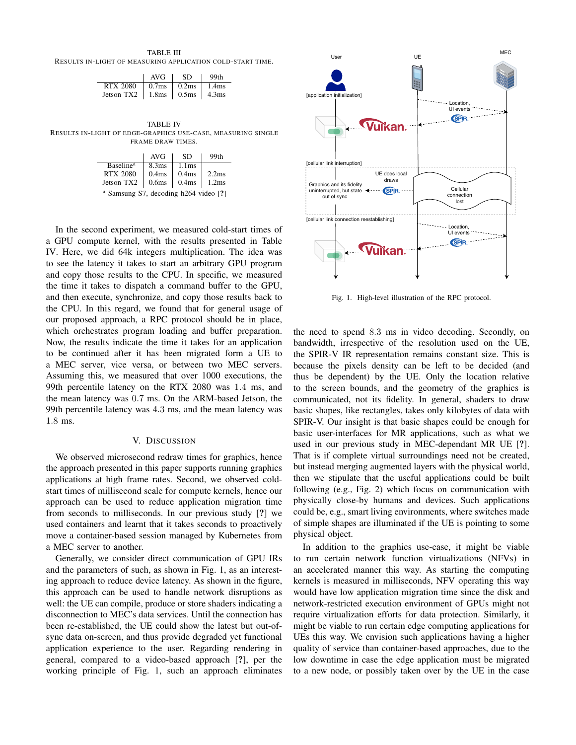TABLE III RESULTS IN-LIGHT OF MEASURING APPLICATION COLD-START TIME.

|                                                                  | $AVG$ $\parallel$ SD | 99th |
|------------------------------------------------------------------|----------------------|------|
| RTX 2080   0.7ms   0.2ms   1.4ms                                 |                      |      |
| Jetson TX2   $1.8 \text{ms}$   $0.5 \text{ms}$   $4.3 \text{ms}$ |                      |      |

TABLE IV RESULTS IN-LIGHT OF EDGE-GRAPHICS USE-CASE, MEASURING SINGLE FRAME DRAW TIMES.

|                                                  | AVG               | SD                | 99th              |  |  |
|--------------------------------------------------|-------------------|-------------------|-------------------|--|--|
| <b>Baseline</b> <sup>a</sup>                     | 8.3 <sub>ms</sub> | 1.1 <sub>ms</sub> |                   |  |  |
| <b>RTX 2080</b>                                  | 0.4 <sub>ms</sub> | 0.4 <sub>ms</sub> | 2.2 <sub>ms</sub> |  |  |
| Jetson TX2                                       | 0.6 <sub>ms</sub> | 0.4 <sub>ms</sub> | 1.2ms             |  |  |
| <sup>a</sup> Samsung S7, decoding h264 video [?] |                   |                   |                   |  |  |

In the second experiment, we measured cold-start times of a GPU compute kernel, with the results presented in Table IV. Here, we did 64k integers multiplication. The idea was to see the latency it takes to start an arbitrary GPU program and copy those results to the CPU. In specific, we measured the time it takes to dispatch a command buffer to the GPU, and then execute, synchronize, and copy those results back to the CPU. In this regard, we found that for general usage of our proposed approach, a RPC protocol should be in place, which orchestrates program loading and buffer preparation. Now, the results indicate the time it takes for an application to be continued after it has been migrated form a UE to a MEC server, vice versa, or between two MEC servers. Assuming this, we measured that over 1000 executions, the 99th percentile latency on the RTX 2080 was 1.4 ms, and the mean latency was 0.7 ms. On the ARM-based Jetson, the 99th percentile latency was 4.3 ms, and the mean latency was 1.8 ms.

## V. DISCUSSION

We observed microsecond redraw times for graphics, hence the approach presented in this paper supports running graphics applications at high frame rates. Second, we observed coldstart times of millisecond scale for compute kernels, hence our approach can be used to reduce application migration time from seconds to milliseconds. In our previous study [?] we used containers and learnt that it takes seconds to proactively move a container-based session managed by Kubernetes from a MEC server to another.

Generally, we consider direct communication of GPU IRs and the parameters of such, as shown in Fig. 1, as an interesting approach to reduce device latency. As shown in the figure, this approach can be used to handle network disruptions as well: the UE can compile, produce or store shaders indicating a disconnection to MEC's data services. Until the connection has been re-established, the UE could show the latest but out-ofsync data on-screen, and thus provide degraded yet functional application experience to the user. Regarding rendering in general, compared to a video-based approach [?], per the working principle of Fig. 1, such an approach eliminates



Fig. 1. High-level illustration of the RPC protocol.

the need to spend 8.3 ms in video decoding. Secondly, on bandwidth, irrespective of the resolution used on the UE, the SPIR-V IR representation remains constant size. This is because the pixels density can be left to be decided (and thus be dependent) by the UE. Only the location relative to the screen bounds, and the geometry of the graphics is communicated, not its fidelity. In general, shaders to draw basic shapes, like rectangles, takes only kilobytes of data with SPIR-V. Our insight is that basic shapes could be enough for basic user-interfaces for MR applications, such as what we used in our previous study in MEC-dependant MR UE [?]. That is if complete virtual surroundings need not be created, but instead merging augmented layers with the physical world, then we stipulate that the useful applications could be built following (e.g., Fig. 2) which focus on communication with physically close-by humans and devices. Such applications could be, e.g., smart living environments, where switches made of simple shapes are illuminated if the UE is pointing to some physical object.

In addition to the graphics use-case, it might be viable to run certain network function virtualizations (NFVs) in an accelerated manner this way. As starting the computing kernels is measured in milliseconds, NFV operating this way would have low application migration time since the disk and network-restricted execution environment of GPUs might not require virtualization efforts for data protection. Similarly, it might be viable to run certain edge computing applications for UEs this way. We envision such applications having a higher quality of service than container-based approaches, due to the low downtime in case the edge application must be migrated to a new node, or possibly taken over by the UE in the case